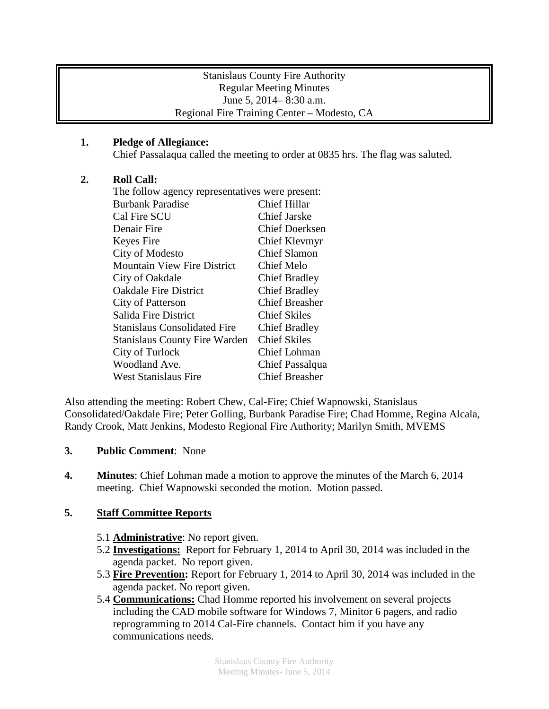## Stanislaus County Fire Authority Regular Meeting Minutes June 5, 2014– 8:30 a.m. Regional Fire Training Center – Modesto, CA

# **1. Pledge of Allegiance:**

Chief Passalaqua called the meeting to order at 0835 hrs. The flag was saluted.

## **2. Roll Call:**

| The follow agency representatives were present: |                       |
|-------------------------------------------------|-----------------------|
| <b>Burbank Paradise</b>                         | <b>Chief Hillar</b>   |
| Cal Fire SCU                                    | <b>Chief Jarske</b>   |
| Denair Fire                                     | <b>Chief Doerksen</b> |
| Keyes Fire                                      | Chief Klevmyr         |
| City of Modesto                                 | <b>Chief Slamon</b>   |
| Mountain View Fire District                     | Chief Melo            |
| City of Oakdale                                 | <b>Chief Bradley</b>  |
| <b>Oakdale Fire District</b>                    | <b>Chief Bradley</b>  |
| City of Patterson                               | <b>Chief Breasher</b> |
| Salida Fire District                            | <b>Chief Skiles</b>   |
| <b>Stanislaus Consolidated Fire</b>             | <b>Chief Bradley</b>  |
| <b>Stanislaus County Fire Warden</b>            | <b>Chief Skiles</b>   |
| City of Turlock                                 | Chief Lohman          |
| Woodland Ave.                                   | Chief Passalqua       |
| <b>West Stanislaus Fire</b>                     | <b>Chief Breasher</b> |

Also attending the meeting: Robert Chew, Cal-Fire; Chief Wapnowski, Stanislaus Consolidated/Oakdale Fire; Peter Golling, Burbank Paradise Fire; Chad Homme, Regina Alcala, Randy Crook, Matt Jenkins, Modesto Regional Fire Authority; Marilyn Smith, MVEMS

## **3. Public Comment**: None

**4. Minutes**: Chief Lohman made a motion to approve the minutes of the March 6, 2014 meeting. Chief Wapnowski seconded the motion. Motion passed.

## **5. Staff Committee Reports**

- 5.1 **Administrative**: No report given.
- 5.2 **Investigations:** Report for February 1, 2014 to April 30, 2014 was included in the agenda packet. No report given.
- 5.3 **Fire Prevention:** Report for February 1, 2014 to April 30, 2014 was included in the agenda packet. No report given.
- 5.4 **Communications:** Chad Homme reported his involvement on several projects including the CAD mobile software for Windows 7, Minitor 6 pagers, and radio reprogramming to 2014 Cal-Fire channels. Contact him if you have any communications needs.